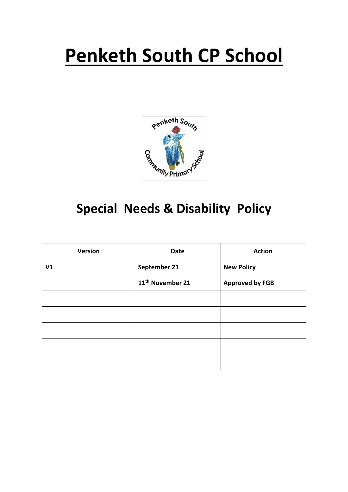# **Penketh South CP School**



# **Special Needs & Disability Policy**

| <b>Version</b> | <b>Date</b>                  | <b>Action</b>          |
|----------------|------------------------------|------------------------|
| V <sub>1</sub> | September 21                 | <b>New Policy</b>      |
|                | 11 <sup>th</sup> November 21 | <b>Approved by FGB</b> |
|                |                              |                        |
|                |                              |                        |
|                |                              |                        |
|                |                              |                        |
|                |                              |                        |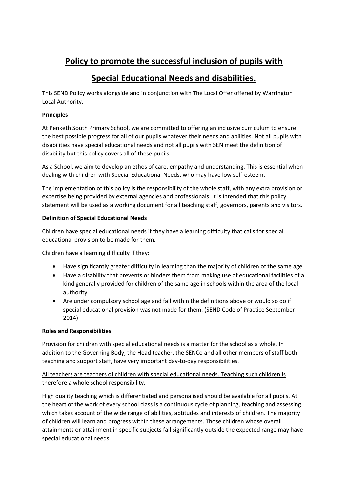## **Policy to promote the successful inclusion of pupils with**

### **Special Educational Needs and disabilities.**

This SEND Policy works alongside and in conjunction with The Local Offer offered by Warrington Local Authority.

#### **Principles**

At Penketh South Primary School, we are committed to offering an inclusive curriculum to ensure the best possible progress for all of our pupils whatever their needs and abilities. Not all pupils with disabilities have special educational needs and not all pupils with SEN meet the definition of disability but this policy covers all of these pupils.

As a School, we aim to develop an ethos of care, empathy and understanding. This is essential when dealing with children with Special Educational Needs, who may have low self-esteem.

The implementation of this policy is the responsibility of the whole staff, with any extra provision or expertise being provided by external agencies and professionals. It is intended that this policy statement will be used as a working document for all teaching staff, governors, parents and visitors.

#### **Definition of Special Educational Needs**

Children have special educational needs if they have a learning difficulty that calls for special educational provision to be made for them.

Children have a learning difficulty if they:

- Have significantly greater difficulty in learning than the majority of children of the same age.
- Have a disability that prevents or hinders them from making use of educational facilities of a kind generally provided for children of the same age in schools within the area of the local authority.
- Are under compulsory school age and fall within the definitions above or would so do if special educational provision was not made for them. (SEND Code of Practice September 2014)

#### **Roles and Responsibilities**

Provision for children with special educational needs is a matter for the school as a whole. In addition to the Governing Body, the Head teacher, the SENCo and all other members of staff both teaching and support staff, have very important day-to-day responsibilities.

#### All teachers are teachers of children with special educational needs. Teaching such children is therefore a whole school responsibility.

High quality teaching which is differentiated and personalised should be available for all pupils. At the heart of the work of every school class is a continuous cycle of planning, teaching and assessing which takes account of the wide range of abilities, aptitudes and interests of children. The majority of children will learn and progress within these arrangements. Those children whose overall attainments or attainment in specific subjects fall significantly outside the expected range may have special educational needs.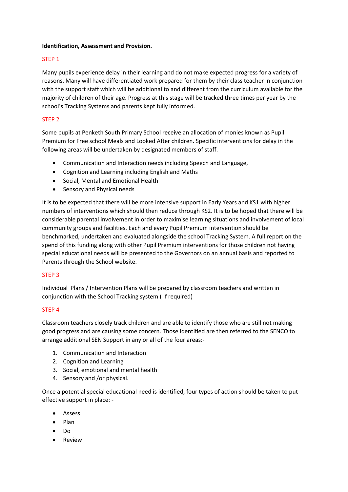#### **Identification, Assessment and Provision.**

#### STEP 1

Many pupils experience delay in their learning and do not make expected progress for a variety of reasons. Many will have differentiated work prepared for them by their class teacher in conjunction with the support staff which will be additional to and different from the curriculum available for the majority of children of their age. Progress at this stage will be tracked three times per year by the school's Tracking Systems and parents kept fully informed.

#### STEP 2

Some pupils at Penketh South Primary School receive an allocation of monies known as Pupil Premium for Free school Meals and Looked After children. Specific interventions for delay in the following areas will be undertaken by designated members of staff.

- Communication and Interaction needs including Speech and Language,
- Cognition and Learning including English and Maths
- Social, Mental and Emotional Health
- Sensory and Physical needs

It is to be expected that there will be more intensive support in Early Years and KS1 with higher numbers of interventions which should then reduce through KS2. It is to be hoped that there will be considerable parental involvement in order to maximise learning situations and involvement of local community groups and facilities. Each and every Pupil Premium intervention should be benchmarked, undertaken and evaluated alongside the school Tracking System. A full report on the spend of this funding along with other Pupil Premium interventions for those children not having special educational needs will be presented to the Governors on an annual basis and reported to Parents through the School website.

#### STEP 3

Individual Plans / Intervention Plans will be prepared by classroom teachers and written in conjunction with the School Tracking system ( If required)

#### STEP 4

Classroom teachers closely track children and are able to identify those who are still not making good progress and are causing some concern. Those identified are then referred to the SENCO to arrange additional SEN Support in any or all of the four areas:-

- 1. Communication and Interaction
- 2. Cognition and Learning
- 3. Social, emotional and mental health
- 4. Sensory and /or physical.

Once a potential special educational need is identified, four types of action should be taken to put effective support in place: -

- Assess
- Plan
- Do
- Review